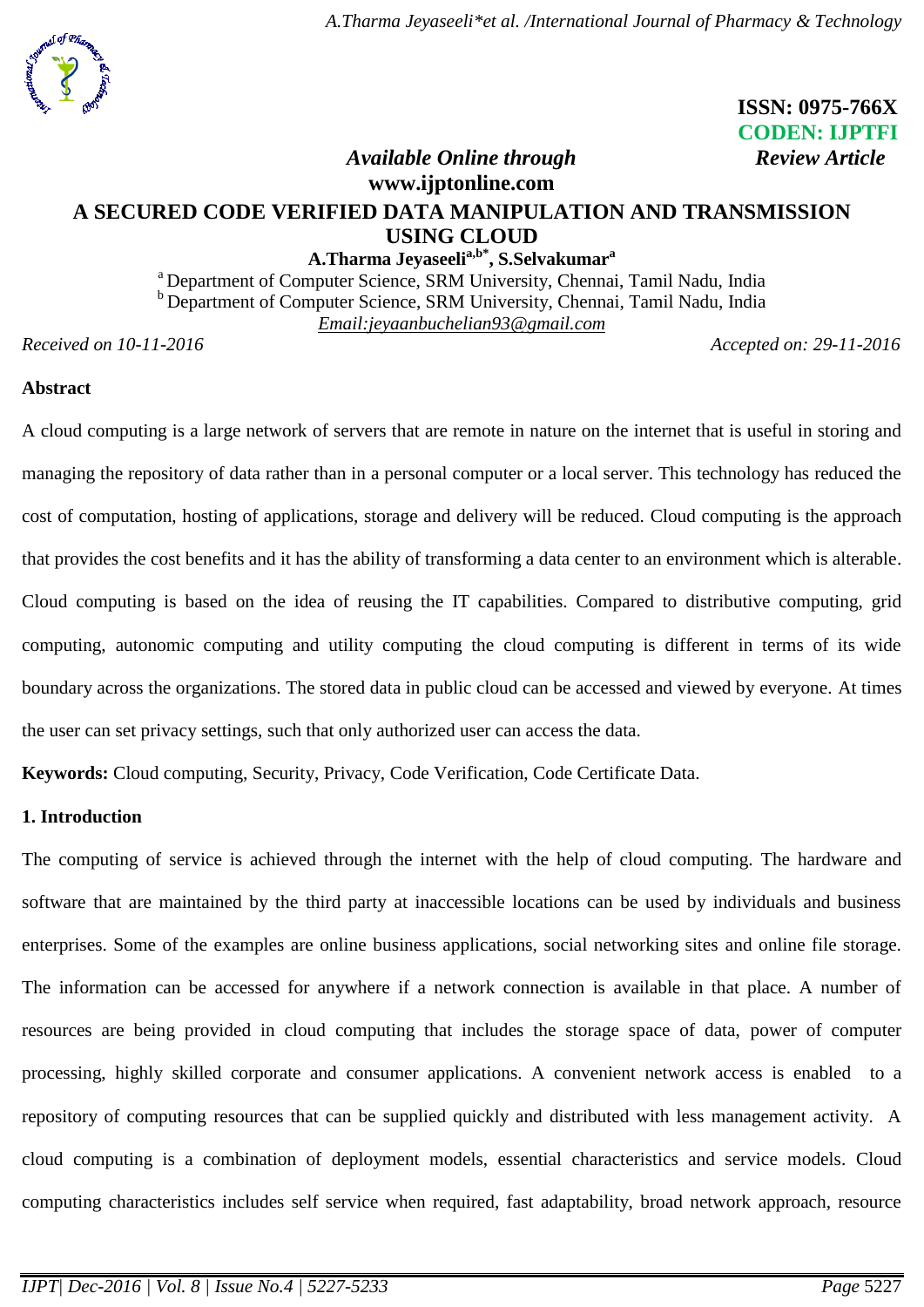

## **ISSN: 0975-766X CODEN: IJPTFI**  *Available Online through Review Article*

# **[www.ijptonline.com](http://www.ijptonline.com/) A SECURED CODE VERIFIED DATA MANIPULATION AND TRANSMISSION USING CLOUD**

**A.Tharma Jeyaseelia,b\*, S.Selvakumar<sup>a</sup>**

<sup>a</sup> Department of Computer Science, SRM University, Chennai, Tamil Nadu, India **b** Department of Computer Science, SRM University, Chennai, Tamil Nadu, India *Email:jeyaanbuchelian93@gmail.com*

*Received on 10-11-2016 Accepted on: 29-11-2016*

## **Abstract**

A cloud computing is a large network of servers that are remote in nature on the internet that is useful in storing and managing the repository of data rather than in a personal computer or a local server. This technology has reduced the cost of computation, hosting of applications, storage and delivery will be reduced. Cloud computing is the approach that provides the cost benefits and it has the ability of transforming a data center to an environment which is alterable. Cloud computing is based on the idea of reusing the IT capabilities. Compared to distributive computing, grid computing, autonomic computing and utility computing the cloud computing is different in terms of its wide boundary across the organizations. The stored data in public cloud can be accessed and viewed by everyone. At times the user can set privacy settings, such that only authorized user can access the data.

**Keywords:** Cloud computing, Security, Privacy, Code Verification, Code Certificate Data.

## **1. Introduction**

The computing of service is achieved through the internet with the help of cloud computing. The hardware and software that are maintained by the third party at inaccessible locations can be used by individuals and business enterprises. Some of the examples are online business applications, social networking sites and online file storage. The information can be accessed for anywhere if a network connection is available in that place. A number of resources are being provided in cloud computing that includes the storage space of data, power of computer processing, highly skilled corporate and consumer applications. A convenient network access is enabled to a repository of computing resources that can be supplied quickly and distributed with less management activity. A cloud computing is a combination of deployment models, essential characteristics and service models. Cloud computing characteristics includes self service when required, fast adaptability, broad network approach, resource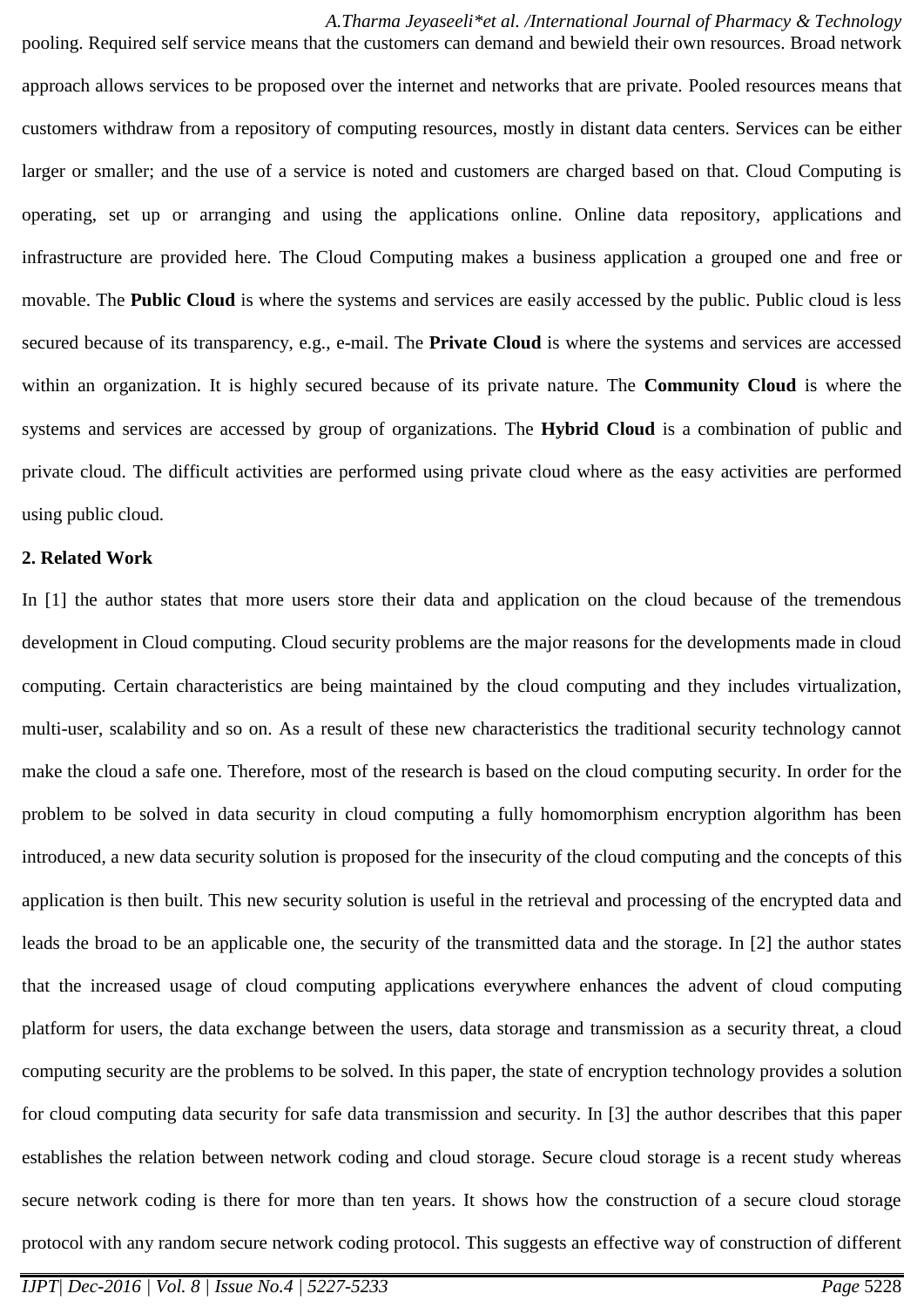*A.Tharma Jeyaseeli\*et al. /International Journal of Pharmacy & Technology* pooling. Required self service means that the customers can demand and bewield their own resources. Broad network approach allows services to be proposed over the internet and networks that are private. Pooled resources means that customers withdraw from a repository of computing resources, mostly in distant data centers. Services can be either larger or smaller; and the use of a service is noted and customers are charged based on that. Cloud Computing is operating, set up or arranging and using the applications online. Online data repository, applications and infrastructure are provided here. The Cloud Computing makes a business application a grouped one and free or movable. The **Public Cloud** is where the systems and services are easily accessed by the public. Public cloud is less secured because of its transparency, e.g., e-mail. The **Private Cloud** is where the systems and services are accessed within an organization. It is highly secured because of its private nature. The **Community Cloud** is where the systems and services are accessed by group of organizations. The **Hybrid Cloud** is a combination of public and private cloud. The difficult activities are performed using private cloud where as the easy activities are performed using public cloud.

## **2. Related Work**

In [1] the author states that more users store their data and application on the cloud because of the tremendous development in Cloud computing. Cloud security problems are the major reasons for the developments made in cloud computing. Certain characteristics are being maintained by the cloud computing and they includes virtualization, multi-user, scalability and so on. As a result of these new characteristics the traditional security technology cannot make the cloud a safe one. Therefore, most of the research is based on the cloud computing security. In order for the problem to be solved in data security in cloud computing a fully homomorphism encryption algorithm has been introduced, a new data security solution is proposed for the insecurity of the cloud computing and the concepts of this application is then built. This new security solution is useful in the retrieval and processing of the encrypted data and leads the broad to be an applicable one, the security of the transmitted data and the storage. In [2] the author states that the increased usage of cloud computing applications everywhere enhances the advent of cloud computing platform for users, the data exchange between the users, data storage and transmission as a security threat, a cloud computing security are the problems to be solved. In this paper, the state of encryption technology provides a solution for cloud computing data security for safe data transmission and security. In [3] the author describes that this paper establishes the relation between network coding and cloud storage. Secure cloud storage is a recent study whereas secure network coding is there for more than ten years. It shows how the construction of a secure cloud storage protocol with any random secure network coding protocol. This suggests an effective way of construction of different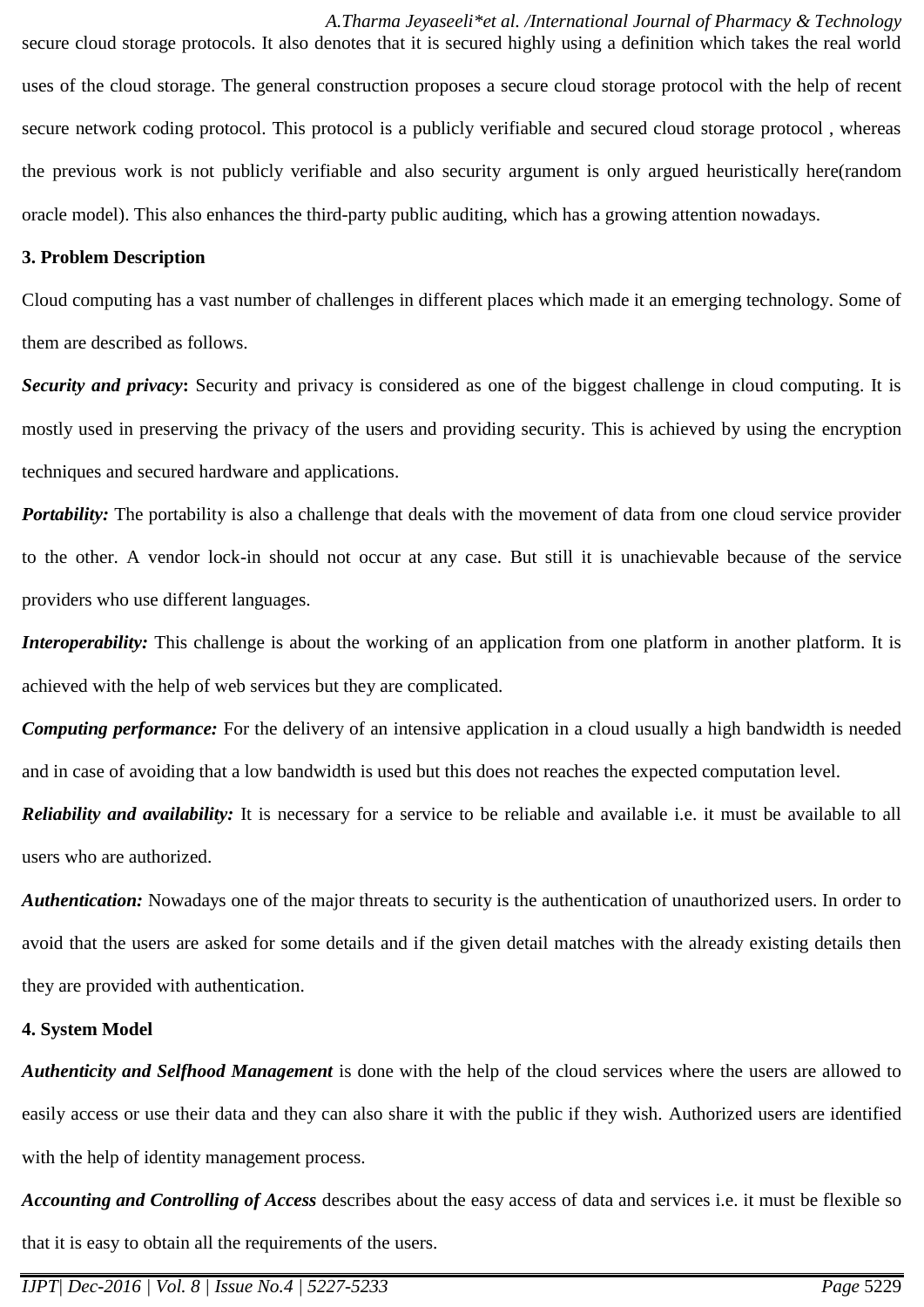*A.Tharma Jeyaseeli\*et al. /International Journal of Pharmacy & Technology* secure cloud storage protocols. It also denotes that it is secured highly using a definition which takes the real world uses of the cloud storage. The general construction proposes a secure cloud storage protocol with the help of recent secure network coding protocol. This protocol is a publicly verifiable and secured cloud storage protocol , whereas the previous work is not publicly verifiable and also security argument is only argued heuristically here(random oracle model). This also enhances the third-party public auditing, which has a growing attention nowadays.

#### **3. Problem Description**

Cloud computing has a vast number of challenges in different places which made it an emerging technology. Some of them are described as follows.

*Security and privacy***:** Security and privacy is considered as one of the biggest challenge in cloud computing. It is mostly used in preserving the privacy of the users and providing security. This is achieved by using the encryption techniques and secured hardware and applications.

*Portability:* The portability is also a challenge that deals with the movement of data from one cloud service provider to the other. A vendor lock-in should not occur at any case. But still it is unachievable because of the service providers who use different languages.

*Interoperability:* This challenge is about the working of an application from one platform in another platform. It is achieved with the help of web services but they are complicated.

*Computing performance:* For the delivery of an intensive application in a cloud usually a high bandwidth is needed and in case of avoiding that a low bandwidth is used but this does not reaches the expected computation level.

*Reliability and availability:* It is necessary for a service to be reliable and available i.e. it must be available to all users who are authorized.

*Authentication:* Nowadays one of the major threats to security is the authentication of unauthorized users. In order to avoid that the users are asked for some details and if the given detail matches with the already existing details then they are provided with authentication.

#### **4. System Model**

*Authenticity and Selfhood Management* is done with the help of the cloud services where the users are allowed to easily access or use their data and they can also share it with the public if they wish. Authorized users are identified with the help of identity management process.

*Accounting and Controlling of Access* describes about the easy access of data and services i.e. it must be flexible so that it is easy to obtain all the requirements of the users.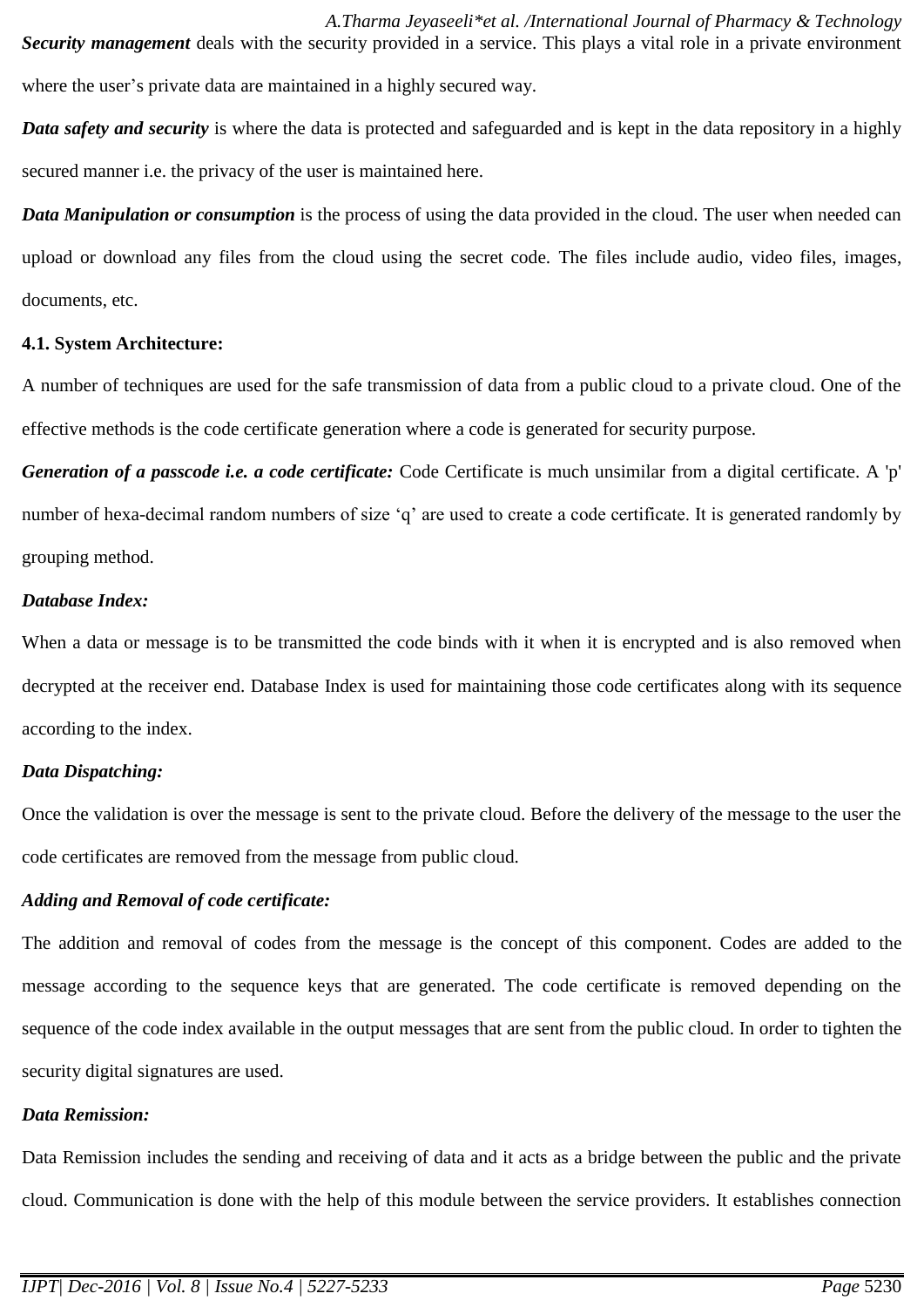*A.Tharma Jeyaseeli\*et al. /International Journal of Pharmacy & Technology Security management* deals with the security provided in a service. This plays a vital role in a private environment where the user's private data are maintained in a highly secured way.

*Data safety and security* is where the data is protected and safeguarded and is kept in the data repository in a highly secured manner i.e. the privacy of the user is maintained here.

*Data Manipulation or consumption* is the process of using the data provided in the cloud. The user when needed can upload or download any files from the cloud using the secret code. The files include audio, video files, images, documents, etc.

#### **4.1. System Architecture:**

A number of techniques are used for the safe transmission of data from a public cloud to a private cloud. One of the effective methods is the code certificate generation where a code is generated for security purpose.

*Generation of a passcode i.e. a code certificate:* Code Certificate is much unsimilar from a digital certificate. A 'p' number of hexa-decimal random numbers of size 'q' are used to create a code certificate. It is generated randomly by grouping method.

#### *Database Index:*

When a data or message is to be transmitted the code binds with it when it is encrypted and is also removed when decrypted at the receiver end. Database Index is used for maintaining those code certificates along with its sequence according to the index.

## *Data Dispatching:*

Once the validation is over the message is sent to the private cloud. Before the delivery of the message to the user the code certificates are removed from the message from public cloud.

## *Adding and Removal of code certificate:*

The addition and removal of codes from the message is the concept of this component. Codes are added to the message according to the sequence keys that are generated. The code certificate is removed depending on the sequence of the code index available in the output messages that are sent from the public cloud. In order to tighten the security digital signatures are used.

## *Data Remission:*

Data Remission includes the sending and receiving of data and it acts as a bridge between the public and the private cloud. Communication is done with the help of this module between the service providers. It establishes connection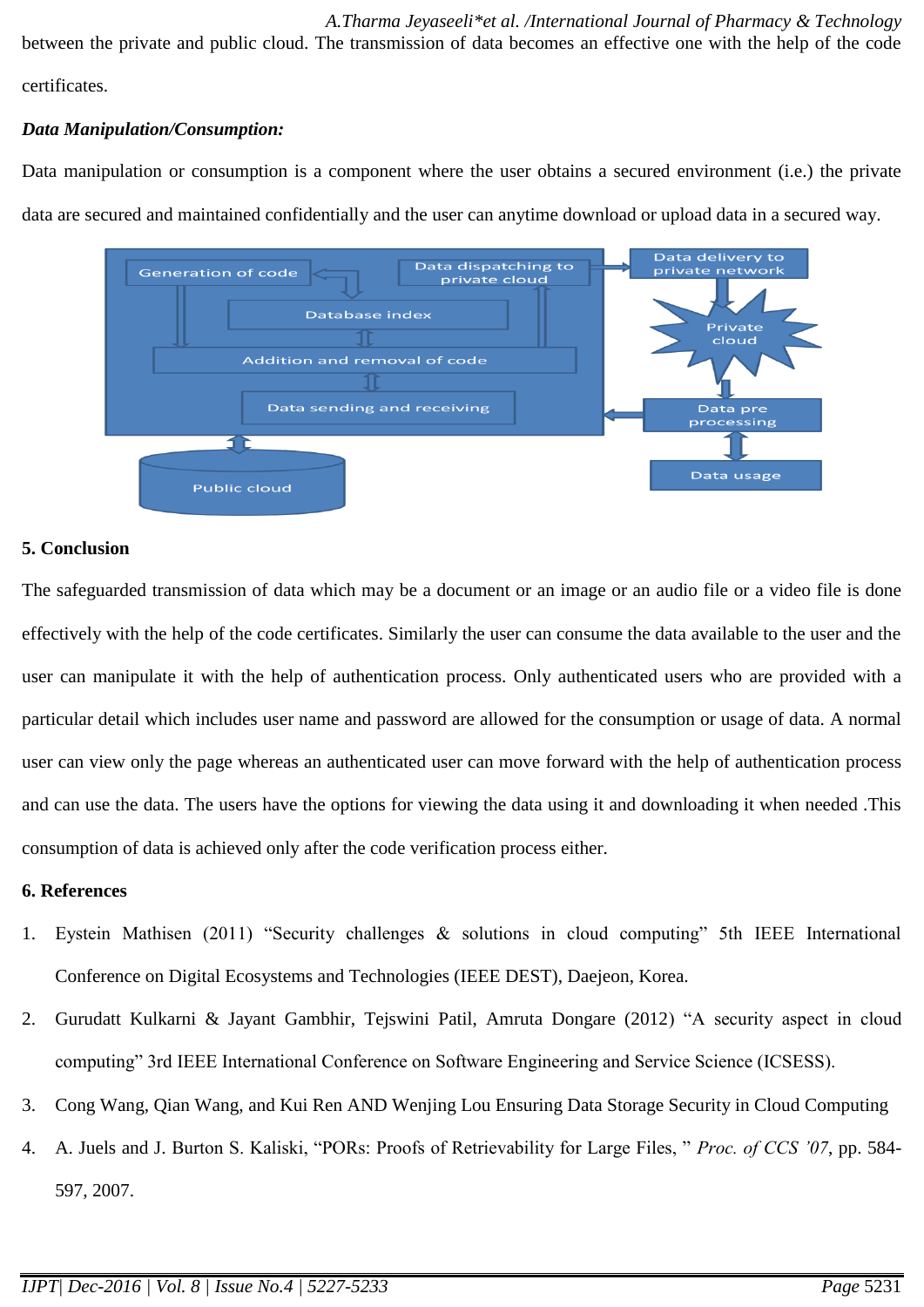*A.Tharma Jeyaseeli\*et al. /International Journal of Pharmacy & Technology* between the private and public cloud. The transmission of data becomes an effective one with the help of the code certificates.

## *Data Manipulation/Consumption:*

Data manipulation or consumption is a component where the user obtains a secured environment (i.e.) the private data are secured and maintained confidentially and the user can anytime download or upload data in a secured way.



#### **5. Conclusion**

The safeguarded transmission of data which may be a document or an image or an audio file or a video file is done effectively with the help of the code certificates. Similarly the user can consume the data available to the user and the user can manipulate it with the help of authentication process. Only authenticated users who are provided with a particular detail which includes user name and password are allowed for the consumption or usage of data. A normal user can view only the page whereas an authenticated user can move forward with the help of authentication process and can use the data. The users have the options for viewing the data using it and downloading it when needed .This consumption of data is achieved only after the code verification process either.

#### **6. References**

- 1. Eystein Mathisen (2011) "Security challenges & solutions in cloud computing" 5th IEEE International Conference on Digital Ecosystems and Technologies (IEEE DEST), Daejeon, Korea.
- 2. Gurudatt Kulkarni & Jayant Gambhir, Tejswini Patil, Amruta Dongare (2012) "A security aspect in cloud computing" 3rd IEEE International Conference on Software Engineering and Service Science (ICSESS).
- 3. Cong Wang, Qian Wang, and Kui Ren AND Wenjing Lou Ensuring Data Storage Security in Cloud Computing
- 4. A. Juels and J. Burton S. Kaliski, "PORs: Proofs of Retrievability for Large Files, " *Proc. of CCS '07*, pp. 584- 597, 2007.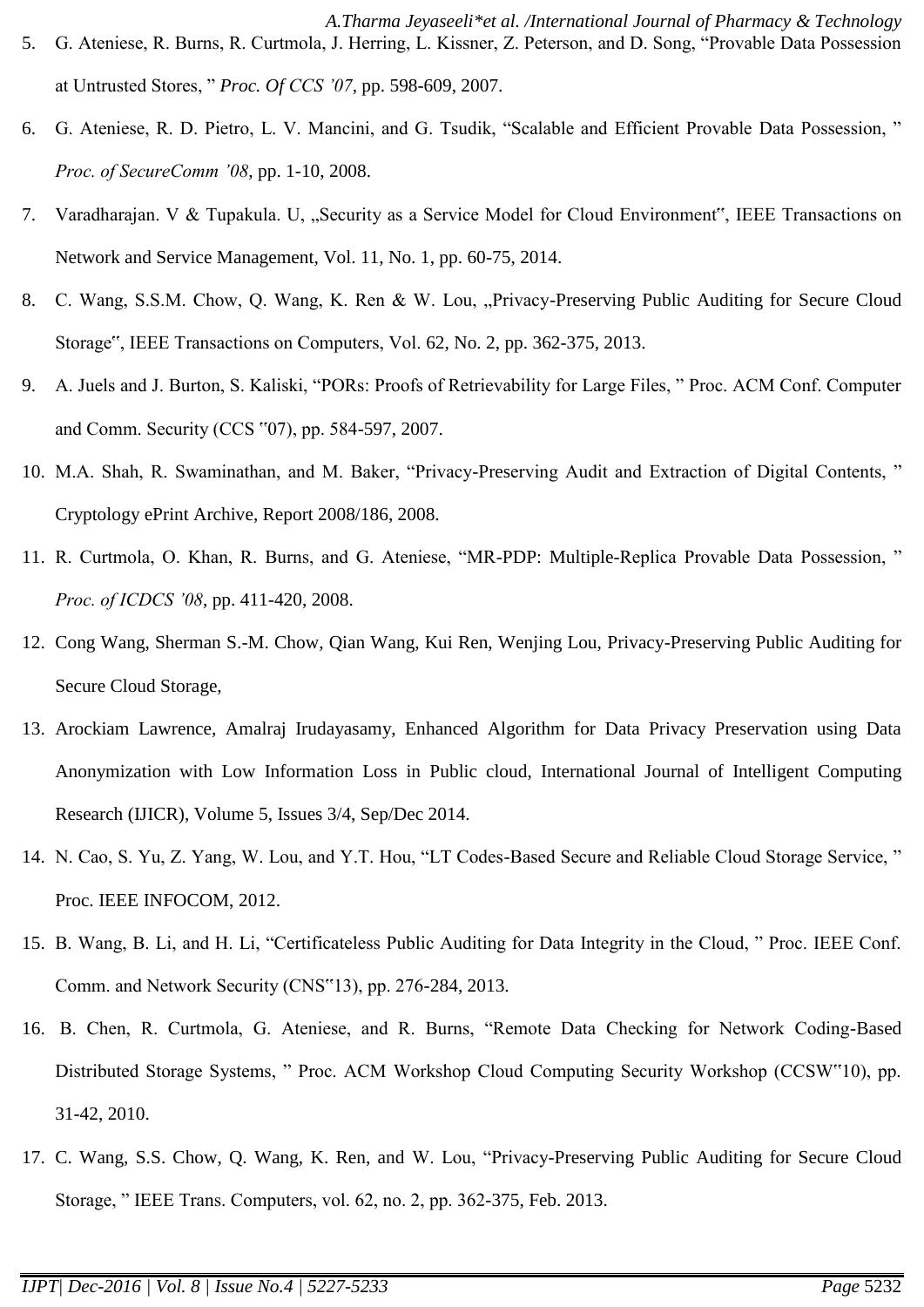- *A.Tharma Jeyaseeli\*et al. /International Journal of Pharmacy & Technology* 5. G. Ateniese, R. Burns, R. Curtmola, J. Herring, L. Kissner, Z. Peterson, and D. Song, "Provable Data Possession at Untrusted Stores, " *Proc. Of CCS '07*, pp. 598-609, 2007.
- 6. G. Ateniese, R. D. Pietro, L. V. Mancini, and G. Tsudik, "Scalable and Efficient Provable Data Possession, " *Proc. of SecureComm '08*, pp. 1-10, 2008.
- 7. Varadharajan. V & Tupakula. U, "Security as a Service Model for Cloud Environment", IEEE Transactions on Network and Service Management, Vol. 11, No. 1, pp. 60-75, 2014.
- 8. C. Wang, S.S.M. Chow, Q. Wang, K. Ren & W. Lou, "Privacy-Preserving Public Auditing for Secure Cloud Storage", IEEE Transactions on Computers, Vol. 62, No. 2, pp. 362-375, 2013.
- 9. A. Juels and J. Burton, S. Kaliski, "PORs: Proofs of Retrievability for Large Files, " Proc. ACM Conf. Computer and Comm. Security (CCS "07), pp. 584-597, 2007.
- 10. M.A. Shah, R. Swaminathan, and M. Baker, "Privacy-Preserving Audit and Extraction of Digital Contents, " Cryptology ePrint Archive, Report 2008/186, 2008.
- 11. R. Curtmola, O. Khan, R. Burns, and G. Ateniese, "MR-PDP: Multiple-Replica Provable Data Possession, " *Proc. of ICDCS '08*, pp. 411-420, 2008.
- 12. Cong Wang, Sherman S.-M. Chow, Qian Wang, Kui Ren, Wenjing Lou, Privacy-Preserving Public Auditing for Secure Cloud Storage,
- 13. Arockiam Lawrence, Amalraj Irudayasamy, Enhanced Algorithm for Data Privacy Preservation using Data Anonymization with Low Information Loss in Public cloud, International Journal of Intelligent Computing Research (IJICR), Volume 5, Issues 3/4, Sep/Dec 2014.
- 14. N. Cao, S. Yu, Z. Yang, W. Lou, and Y.T. Hou, "LT Codes-Based Secure and Reliable Cloud Storage Service, " Proc. IEEE INFOCOM, 2012.
- 15. B. Wang, B. Li, and H. Li, "Certificateless Public Auditing for Data Integrity in the Cloud, " Proc. IEEE Conf. Comm. and Network Security (CNS"13), pp. 276-284, 2013.
- 16. B. Chen, R. Curtmola, G. Ateniese, and R. Burns, "Remote Data Checking for Network Coding-Based Distributed Storage Systems, " Proc. ACM Workshop Cloud Computing Security Workshop (CCSW"10), pp. 31-42, 2010.
- 17. C. Wang, S.S. Chow, Q. Wang, K. Ren, and W. Lou, "Privacy-Preserving Public Auditing for Secure Cloud Storage, " IEEE Trans. Computers, vol. 62, no. 2, pp. 362-375, Feb. 2013.